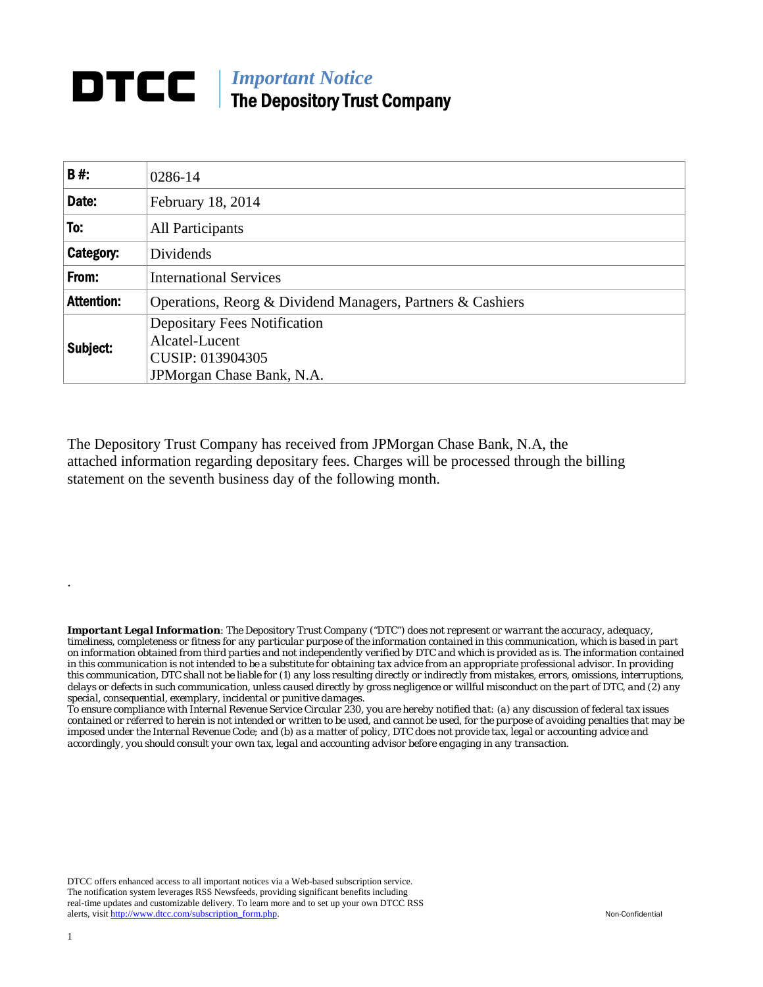## **DTCC** | *Important Notice* The Depository Trust Company

| <b>B#:</b>        | 0286-14                                                    |  |  |  |  |  |
|-------------------|------------------------------------------------------------|--|--|--|--|--|
| Date:             | February 18, 2014                                          |  |  |  |  |  |
| To:               | All Participants                                           |  |  |  |  |  |
| Category:         | Dividends                                                  |  |  |  |  |  |
| From:             | <b>International Services</b>                              |  |  |  |  |  |
| <b>Attention:</b> | Operations, Reorg & Dividend Managers, Partners & Cashiers |  |  |  |  |  |
| Subject:          | <b>Depositary Fees Notification</b><br>Alcatel-Lucent      |  |  |  |  |  |
|                   | CUSIP: 013904305<br>JPM organ Chase Bank, N.A.             |  |  |  |  |  |

The Depository Trust Company has received from JPMorgan Chase Bank, N.A, the attached information regarding depositary fees. Charges will be processed through the billing statement on the seventh business day of the following month.

*Important Legal Information: The Depository Trust Company ("DTC") does not represent or warrant the accuracy, adequacy, timeliness, completeness or fitness for any particular purpose of the information contained in this communication, which is based in part on information obtained from third parties and not independently verified by DTC and which is provided as is. The information contained in this communication is not intended to be a substitute for obtaining tax advice from an appropriate professional advisor. In providing this communication, DTC shall not be liable for (1) any loss resulting directly or indirectly from mistakes, errors, omissions, interruptions, delays or defects in such communication, unless caused directly by gross negligence or willful misconduct on the part of DTC, and (2) any special, consequential, exemplary, incidental or punitive damages.* 

*To ensure compliance with Internal Revenue Service Circular 230, you are hereby notified that: (a) any discussion of federal tax issues contained or referred to herein is not intended or written to be used, and cannot be used, for the purpose of avoiding penalties that may be imposed under the Internal Revenue Code; and (b) as a matter of policy, DTC does not provide tax, legal or accounting advice and accordingly, you should consult your own tax, legal and accounting advisor before engaging in any transaction.*

DTCC offers enhanced access to all important notices via a Web-based subscription service. The notification system leverages RSS Newsfeeds, providing significant benefits including real-time updates and customizable delivery. To learn more and to set up your own DTCC RSS alerts, visit http://www.dtcc.com/subscription\_form.php. Non-Confidential

.